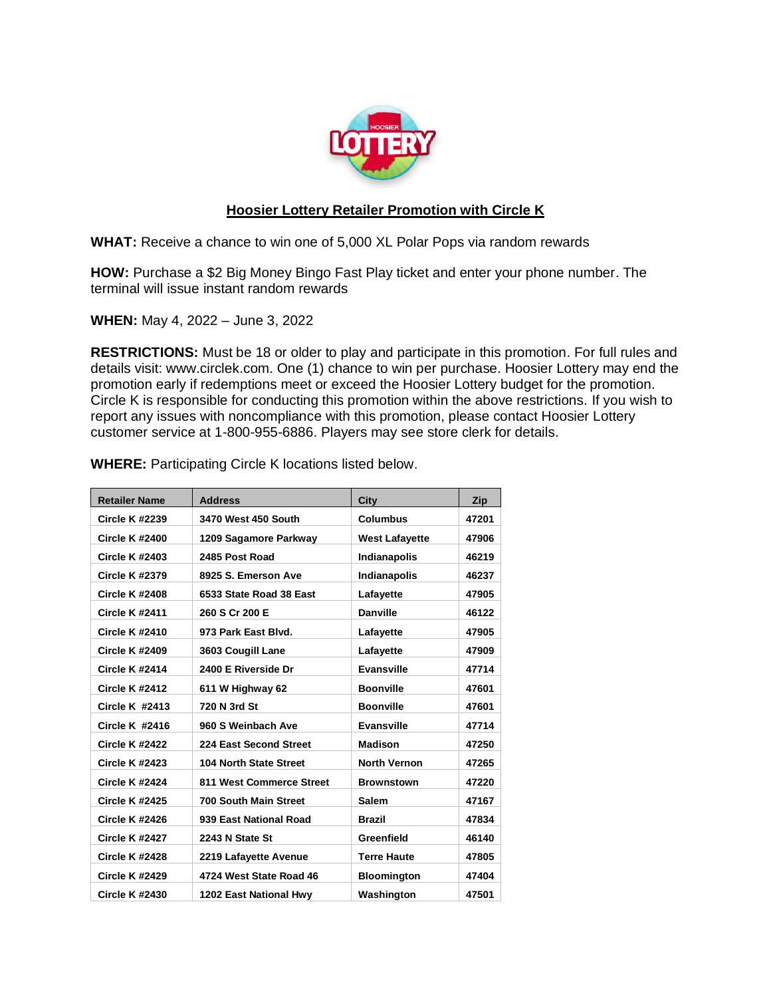

## **Hoosier Lottery Retailer Promotion with Circle K**

**WHAT:** Receive a chance to win one of 5,000 XL Polar Pops via random rewards

**HOW:** Purchase a \$2 Big Money Bingo Fast Play ticket and enter your phone number. The terminal will issue instant random rewards

**WHEN:** May 4, 2022 – June 3, 2022

**RESTRICTIONS:** Must be 18 or older to play and participate in this promotion. For full rules and details visit: www.circlek.com. One (1) chance to win per purchase. Hoosier Lottery may end the promotion early if redemptions meet or exceed the Hoosier Lottery budget for the promotion. Circle K is responsible for conducting this promotion within the above restrictions. If you wish to report any issues with noncompliance with this promotion, please contact Hoosier Lottery customer service at 1-800-955-6886. Players may see store clerk for details.

| <b>Retailer Name</b>  | <b>Address</b>                | City                  | Zip   |
|-----------------------|-------------------------------|-----------------------|-------|
| <b>Circle K #2239</b> | 3470 West 450 South           | <b>Columbus</b>       | 47201 |
| <b>Circle K #2400</b> | 1209 Sagamore Parkway         | <b>West Lafayette</b> | 47906 |
| <b>Circle K #2403</b> | 2485 Post Road                | Indianapolis          | 46219 |
| <b>Circle K #2379</b> | 8925 S. Emerson Ave           | <b>Indianapolis</b>   | 46237 |
| <b>Circle K #2408</b> | 6533 State Road 38 East       | Lafayette             | 47905 |
| <b>Circle K #2411</b> | 260 S Cr 200 E                | <b>Danville</b>       | 46122 |
| <b>Circle K #2410</b> | 973 Park East Blvd.           | Lafayette             | 47905 |
| <b>Circle K #2409</b> | 3603 Cougill Lane             | Lafayette             | 47909 |
| <b>Circle K #2414</b> | 2400 E Riverside Dr           | <b>Evansville</b>     | 47714 |
| <b>Circle K #2412</b> | 611 W Highway 62              | <b>Boonville</b>      | 47601 |
| Circle $K$ #2413      | 720 N 3rd St                  | <b>Boonville</b>      | 47601 |
| <b>Circle K #2416</b> | 960 S Weinbach Ave            | <b>Evansville</b>     | 47714 |
| <b>Circle K #2422</b> | 224 East Second Street        | <b>Madison</b>        | 47250 |
| <b>Circle K #2423</b> | <b>104 North State Street</b> | <b>North Vernon</b>   | 47265 |
| <b>Circle K #2424</b> | 811 West Commerce Street      | <b>Brownstown</b>     | 47220 |
| <b>Circle K #2425</b> | <b>700 South Main Street</b>  | <b>Salem</b>          | 47167 |
| <b>Circle K #2426</b> | 939 East National Road        | <b>Brazil</b>         | 47834 |
| <b>Circle K #2427</b> | 2243 N State St               | Greenfield            | 46140 |
| <b>Circle K #2428</b> | 2219 Lafayette Avenue         | <b>Terre Haute</b>    | 47805 |
| <b>Circle K #2429</b> | 4724 West State Road 46       | <b>Bloomington</b>    | 47404 |
| <b>Circle K #2430</b> | 1202 East National Hwy        | Washington            | 47501 |

**WHERE:** Participating Circle K locations listed below.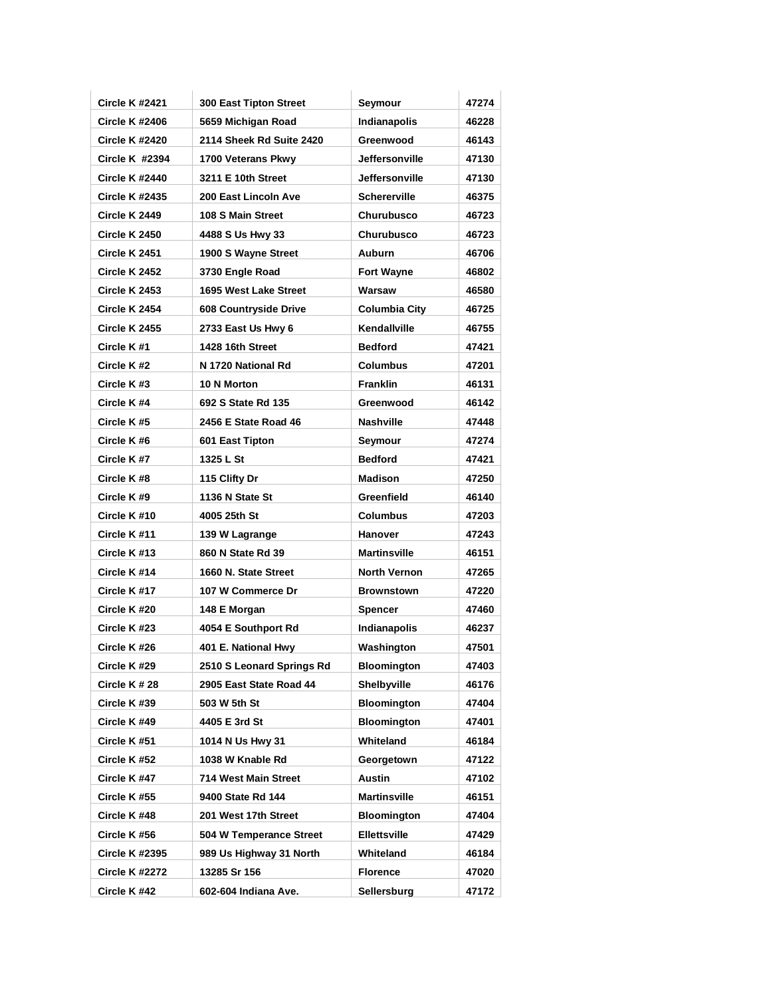| <b>Circle K #2421</b> | <b>300 East Tipton Street</b> | Seymour               | 47274 |
|-----------------------|-------------------------------|-----------------------|-------|
| <b>Circle K #2406</b> | 5659 Michigan Road            | <b>Indianapolis</b>   | 46228 |
| <b>Circle K #2420</b> | 2114 Sheek Rd Suite 2420      | Greenwood             | 46143 |
| Circle $K$ #2394      | 1700 Veterans Pkwy            | Jeffersonville        | 47130 |
| <b>Circle K #2440</b> | 3211 E 10th Street            | <b>Jeffersonville</b> | 47130 |
| <b>Circle K #2435</b> | 200 East Lincoln Ave          | <b>Schererville</b>   | 46375 |
| Circle K 2449         | 108 S Main Street             | <b>Churubusco</b>     | 46723 |
| <b>Circle K 2450</b>  | 4488 S Us Hwy 33              | <b>Churubusco</b>     | 46723 |
| Circle K 2451         | 1900 S Wayne Street           | Auburn                | 46706 |
| Circle K 2452         | 3730 Engle Road               | <b>Fort Wayne</b>     | 46802 |
| Circle K 2453         | 1695 West Lake Street         | Warsaw                | 46580 |
| Circle K 2454         | 608 Countryside Drive         | Columbia City         | 46725 |
| <b>Circle K 2455</b>  | 2733 East Us Hwy 6            | Kendallville          | 46755 |
| Circle K#1            | 1428 16th Street              | <b>Bedford</b>        | 47421 |
| Circle K#2            | N 1720 National Rd            | <b>Columbus</b>       | 47201 |
| Circle K#3            | 10 N Morton                   | <b>Franklin</b>       | 46131 |
| Circle K#4            | 692 S State Rd 135            | Greenwood             | 46142 |
| Circle K#5            | 2456 E State Road 46          | <b>Nashville</b>      | 47448 |
| Circle K#6            | 601 East Tipton               | Seymour               | 47274 |
| Circle K#7            | 1325 L St                     | <b>Bedford</b>        | 47421 |
| Circle K#8            | 115 Clifty Dr                 | <b>Madison</b>        | 47250 |
| Circle K#9            | 1136 N State St               | Greenfield            | 46140 |
| Circle K#10           | 4005 25th St                  | <b>Columbus</b>       | 47203 |
| Circle K#11           | 139 W Lagrange                | Hanover               | 47243 |
| Circle K#13           | 860 N State Rd 39             | <b>Martinsville</b>   | 46151 |
| Circle K#14           | 1660 N. State Street          | <b>North Vernon</b>   | 47265 |
| Circle K#17           | 107 W Commerce Dr             | <b>Brownstown</b>     | 47220 |
| Circle K #20          | 148 E Morgan                  | <b>Spencer</b>        | 47460 |
| Circle K#23           | 4054 E Southport Rd           | <b>Indianapolis</b>   | 46237 |
| Circle K #26          | 401 E. National Hwy           | Washington            | 47501 |
| Circle K #29          | 2510 S Leonard Springs Rd     | <b>Bloomington</b>    | 47403 |
| Circle K # 28         | 2905 East State Road 44       | Shelbyville           | 46176 |
| Circle K #39          | 503 W 5th St                  | <b>Bloomington</b>    | 47404 |
| Circle K #49          | 4405 E 3rd St                 | <b>Bloomington</b>    | 47401 |
| Circle K #51          | 1014 N Us Hwy 31              | Whiteland             | 46184 |
| Circle K #52          | 1038 W Knable Rd              | Georgetown            | 47122 |
| Circle K #47          | 714 West Main Street          | <b>Austin</b>         | 47102 |
| Circle K #55          | 9400 State Rd 144             | Martinsville          | 46151 |
| Circle K #48          | 201 West 17th Street          | <b>Bloomington</b>    | 47404 |
| Circle K #56          | 504 W Temperance Street       | <b>Ellettsville</b>   | 47429 |
| <b>Circle K #2395</b> | 989 Us Highway 31 North       | Whiteland             | 46184 |
| <b>Circle K #2272</b> | 13285 Sr 156                  | <b>Florence</b>       | 47020 |
| Circle K #42          | 602-604 Indiana Ave.          | Sellersburg           | 47172 |
|                       |                               |                       |       |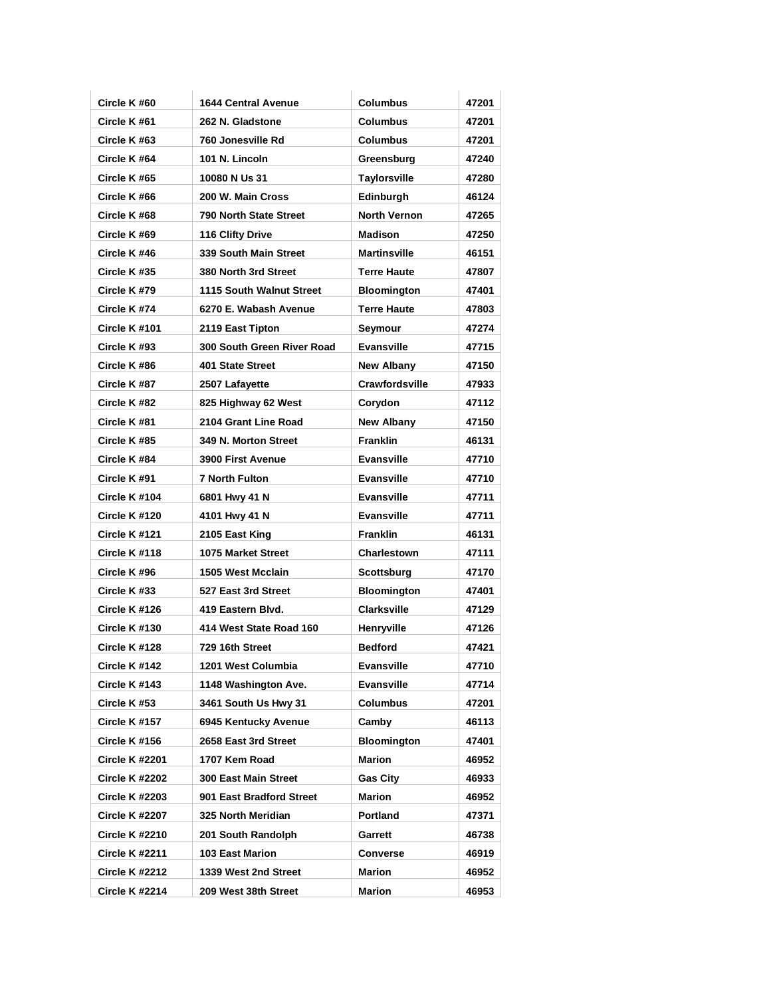| Circle K #60          | <b>1644 Central Avenue</b> | <b>Columbus</b>     | 47201 |
|-----------------------|----------------------------|---------------------|-------|
| Circle K#61           | 262 N. Gladstone           | <b>Columbus</b>     | 47201 |
| Circle K#63           | 760 Jonesville Rd          | <b>Columbus</b>     | 47201 |
| Circle K#64           | 101 N. Lincoln             | Greensburg          | 47240 |
| Circle K#65           | 10080 N Us 31              | <b>Taylorsville</b> | 47280 |
| Circle K#66           | 200 W. Main Cross          | Edinburgh           | 46124 |
| Circle K#68           | 790 North State Street     | <b>North Vernon</b> | 47265 |
| Circle K#69           | 116 Clifty Drive           | <b>Madison</b>      | 47250 |
| Circle K #46          | 339 South Main Street      | <b>Martinsville</b> | 46151 |
| Circle K#35           | 380 North 3rd Street       | <b>Terre Haute</b>  | 47807 |
| Circle K#79           | 1115 South Walnut Street   | <b>Bloomington</b>  | 47401 |
| Circle K#74           | 6270 E. Wabash Avenue      | <b>Terre Haute</b>  | 47803 |
| Circle K #101         | 2119 East Tipton           | Seymour             | 47274 |
| Circle K#93           | 300 South Green River Road | <b>Evansville</b>   | 47715 |
| Circle K #86          | 401 State Street           | <b>New Albany</b>   | 47150 |
| Circle K#87           | 2507 Lafayette             | Crawfordsville      | 47933 |
| Circle K#82           | 825 Highway 62 West        | Corydon             | 47112 |
| Circle K#81           | 2104 Grant Line Road       | <b>New Albany</b>   | 47150 |
| Circle K #85          | 349 N. Morton Street       | <b>Franklin</b>     | 46131 |
| Circle K #84          | <b>3900 First Avenue</b>   | <b>Evansville</b>   | 47710 |
| Circle K #91          | <b>7 North Fulton</b>      | <b>Evansville</b>   | 47710 |
| Circle K #104         | 6801 Hwy 41 N              | <b>Evansville</b>   | 47711 |
| Circle K #120         | 4101 Hwy 41 N              | <b>Evansville</b>   | 47711 |
| Circle K #121         | 2105 East King             | <b>Franklin</b>     | 46131 |
| Circle K #118         | 1075 Market Street         | <b>Charlestown</b>  | 47111 |
| Circle K #96          | 1505 West Mcclain          | Scottsburg          | 47170 |
| Circle K #33          | 527 East 3rd Street        | <b>Bloomington</b>  | 47401 |
| Circle K #126         | 419 Eastern Blvd.          | <b>Clarksville</b>  | 47129 |
| Circle K #130         | 414 West State Road 160    | Henryville          | 47126 |
| Circle K #128         | 729 16th Street            | <b>Bedford</b>      | 47421 |
| Circle K #142         | 1201 West Columbia         | <b>Evansville</b>   | 47710 |
| Circle K #143         | 1148 Washington Ave.       | <b>Evansville</b>   | 47714 |
| Circle K #53          | 3461 South Us Hwy 31       | <b>Columbus</b>     | 47201 |
| Circle K #157         | 6945 Kentucky Avenue       | Camby               | 46113 |
| Circle K #156         | 2658 East 3rd Street       | <b>Bloomington</b>  | 47401 |
| <b>Circle K #2201</b> | 1707 Kem Road              | Marion              | 46952 |
| <b>Circle K #2202</b> | 300 East Main Street       | <b>Gas City</b>     | 46933 |
| <b>Circle K #2203</b> | 901 East Bradford Street   | Marion              | 46952 |
| <b>Circle K #2207</b> | 325 North Meridian         | Portland            | 47371 |
| <b>Circle K #2210</b> | 201 South Randolph         |                     |       |
|                       |                            | Garrett             | 46738 |
| <b>Circle K #2211</b> | 103 East Marion            | Converse            | 46919 |
| <b>Circle K #2212</b> | 1339 West 2nd Street       | Marion              | 46952 |
| <b>Circle K #2214</b> | 209 West 38th Street       | Marion              | 46953 |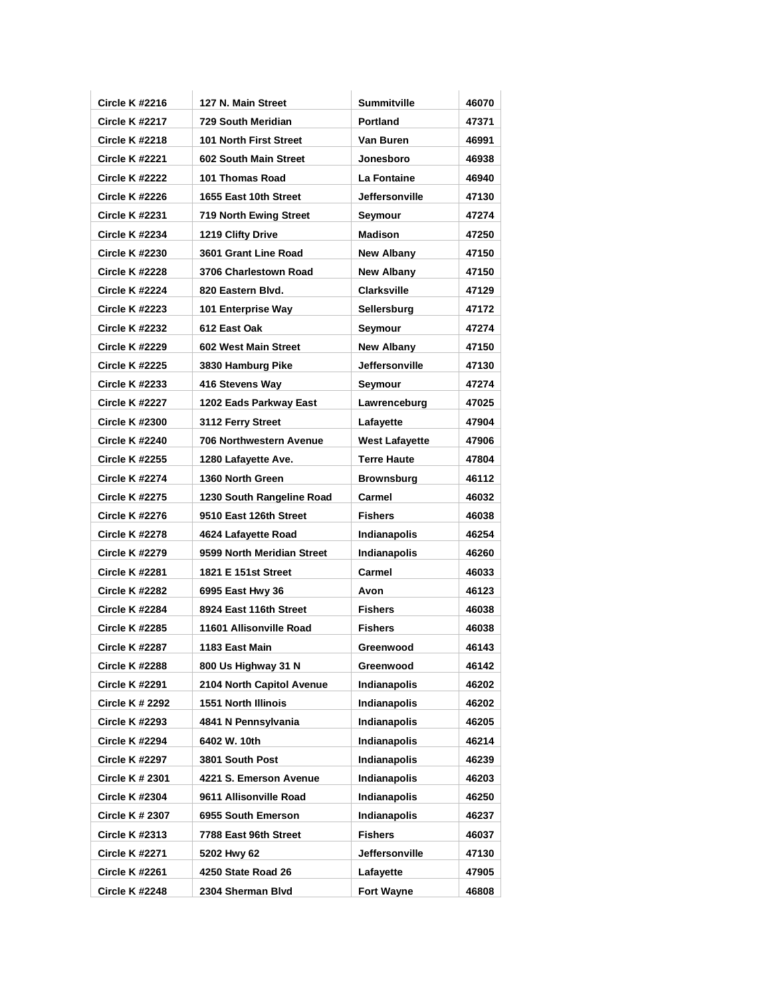| <b>Circle K #2216</b>  | 127 N. Main Street             | <b>Summitville</b>    | 46070 |
|------------------------|--------------------------------|-----------------------|-------|
| <b>Circle K #2217</b>  | 729 South Meridian             | <b>Portland</b>       | 47371 |
| <b>Circle K #2218</b>  | 101 North First Street         | Van Buren             | 46991 |
| <b>Circle K #2221</b>  | 602 South Main Street          | Jonesboro             | 46938 |
| <b>Circle K #2222</b>  | 101 Thomas Road                | La Fontaine           | 46940 |
| <b>Circle K #2226</b>  | 1655 East 10th Street          | <b>Jeffersonville</b> | 47130 |
| <b>Circle K #2231</b>  | <b>719 North Ewing Street</b>  | Seymour               | 47274 |
| <b>Circle K #2234</b>  | 1219 Clifty Drive              | <b>Madison</b>        | 47250 |
| <b>Circle K #2230</b>  | 3601 Grant Line Road           | <b>New Albany</b>     | 47150 |
| <b>Circle K #2228</b>  | 3706 Charlestown Road          | <b>New Albany</b>     | 47150 |
| <b>Circle K #2224</b>  | 820 Eastern Blvd.              | <b>Clarksville</b>    | 47129 |
| <b>Circle K #2223</b>  | 101 Enterprise Way             | Sellersburg           | 47172 |
| <b>Circle K #2232</b>  | 612 East Oak                   | Seymour               | 47274 |
| <b>Circle K #2229</b>  | 602 West Main Street           | <b>New Albany</b>     | 47150 |
| <b>Circle K #2225</b>  | 3830 Hamburg Pike              | <b>Jeffersonville</b> | 47130 |
| <b>Circle K #2233</b>  | 416 Stevens Way                | Seymour               | 47274 |
| <b>Circle K #2227</b>  | 1202 Eads Parkway East         | Lawrenceburg          | 47025 |
| <b>Circle K #2300</b>  | 3112 Ferry Street              | Lafayette             | 47904 |
| <b>Circle K #2240</b>  | <b>706 Northwestern Avenue</b> | <b>West Lafayette</b> | 47906 |
| <b>Circle K #2255</b>  | 1280 Lafayette Ave.            | <b>Terre Haute</b>    | 47804 |
| <b>Circle K #2274</b>  | 1360 North Green               | <b>Brownsburg</b>     | 46112 |
| <b>Circle K #2275</b>  | 1230 South Rangeline Road      | Carmel                | 46032 |
| <b>Circle K #2276</b>  | 9510 East 126th Street         | <b>Fishers</b>        | 46038 |
| <b>Circle K #2278</b>  | 4624 Lafayette Road            | Indianapolis          | 46254 |
| <b>Circle K #2279</b>  | 9599 North Meridian Street     | <b>Indianapolis</b>   | 46260 |
| <b>Circle K #2281</b>  | 1821 E 151st Street            | Carmel                | 46033 |
| <b>Circle K #2282</b>  | 6995 East Hwy 36               | Avon                  | 46123 |
| <b>Circle K #2284</b>  | 8924 East 116th Street         | <b>Fishers</b>        | 46038 |
| <b>Circle K #2285</b>  | 11601 Allisonville Road        | <b>Fishers</b>        | 46038 |
| <b>Circle K #2287</b>  | 1183 East Main                 | Greenwood             | 46143 |
| <b>Circle K #2288</b>  | 800 Us Highway 31 N            | Greenwood             | 46142 |
| <b>Circle K #2291</b>  | 2104 North Capitol Avenue      | Indianapolis          | 46202 |
| <b>Circle K # 2292</b> | 1551 North Illinois            | <b>Indianapolis</b>   | 46202 |
| <b>Circle K #2293</b>  | 4841 N Pennsylvania            | <b>Indianapolis</b>   | 46205 |
| <b>Circle K #2294</b>  | 6402 W. 10th                   | Indianapolis          | 46214 |
| <b>Circle K #2297</b>  | 3801 South Post                | Indianapolis          | 46239 |
| <b>Circle K # 2301</b> | 4221 S. Emerson Avenue         | <b>Indianapolis</b>   | 46203 |
| <b>Circle K #2304</b>  | 9611 Allisonville Road         | <b>Indianapolis</b>   | 46250 |
| <b>Circle K # 2307</b> | 6955 South Emerson             | <b>Indianapolis</b>   | 46237 |
| <b>Circle K #2313</b>  | 7788 East 96th Street          | <b>Fishers</b>        | 46037 |
| <b>Circle K #2271</b>  | 5202 Hwy 62                    | Jeffersonville        | 47130 |
| <b>Circle K #2261</b>  | 4250 State Road 26             | Lafayette             | 47905 |
| <b>Circle K #2248</b>  | 2304 Sherman Blvd              | <b>Fort Wayne</b>     | 46808 |